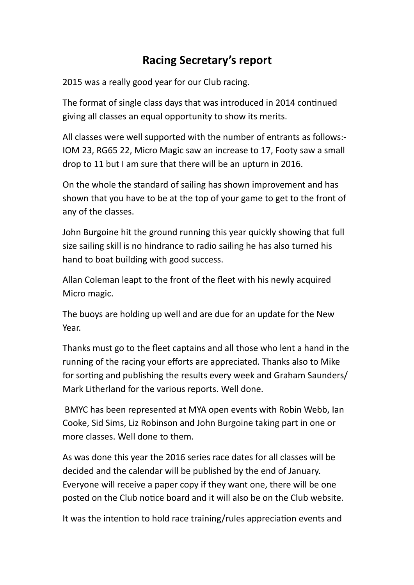## **Racing Secretary's report**

2015 was a really good year for our Club racing.

The format of single class days that was introduced in 2014 continued giving all classes an equal opportunity to show its merits.

All classes were well supported with the number of entrants as follows:-IOM 23, RG65 22, Micro Magic saw an increase to 17, Footy saw a small drop to 11 but I am sure that there will be an upturn in 2016.

On the whole the standard of sailing has shown improvement and has shown that you have to be at the top of your game to get to the front of any of the classes.

John Burgoine hit the ground running this year quickly showing that full size sailing skill is no hindrance to radio sailing he has also turned his hand to boat building with good success.

Allan Coleman leapt to the front of the fleet with his newly acquired Micro magic.

The buoys are holding up well and are due for an update for the New Year. 

Thanks must go to the fleet captains and all those who lent a hand in the running of the racing your efforts are appreciated. Thanks also to Mike for sorting and publishing the results every week and Graham Saunders/ Mark Litherland for the various reports. Well done.

BMYC has been represented at MYA open events with Robin Webb, Ian Cooke, Sid Sims, Liz Robinson and John Burgoine taking part in one or more classes. Well done to them.

As was done this year the 2016 series race dates for all classes will be decided and the calendar will be published by the end of January. Everyone will receive a paper copy if they want one, there will be one posted on the Club notice board and it will also be on the Club website.

It was the intention to hold race training/rules appreciation events and